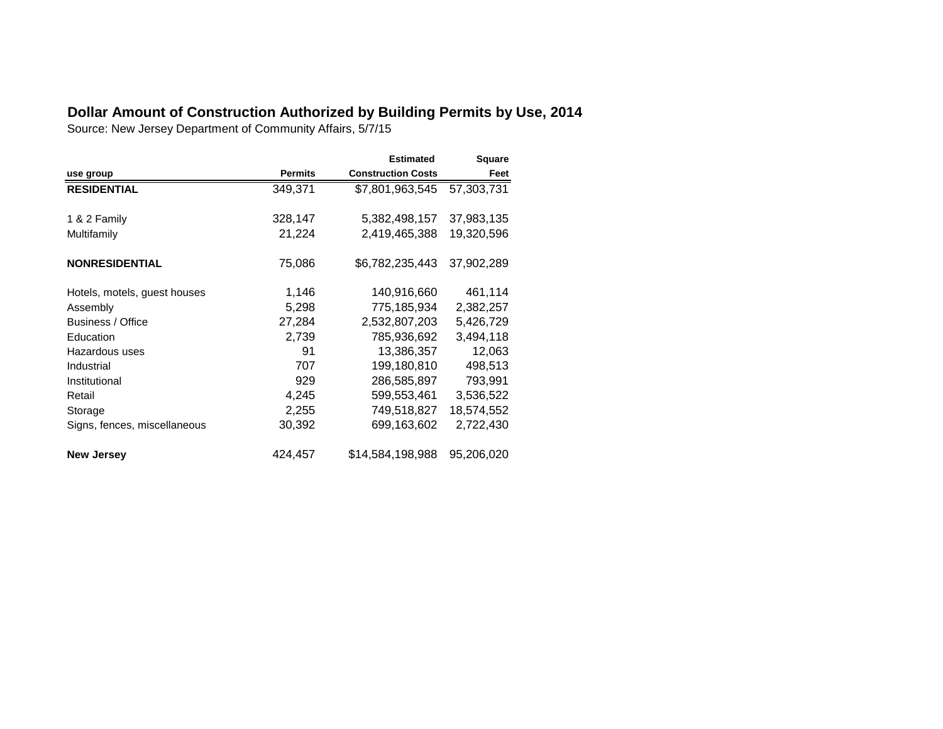## **Dollar Amount of Construction Authorized by Building Permits by Use, 2014**

Source: New Jersey Department of Community Affairs, 5/7/15

|                              |                | <b>Estimated</b>          | <b>Square</b> |
|------------------------------|----------------|---------------------------|---------------|
| use group                    | <b>Permits</b> | <b>Construction Costs</b> | Feet          |
| <b>RESIDENTIAL</b>           | 349,371        | \$7,801,963,545           | 57,303,731    |
|                              |                |                           |               |
| 1 & 2 Family                 | 328,147        | 5,382,498,157             | 37,983,135    |
| Multifamily                  | 21,224         | 2,419,465,388             | 19,320,596    |
|                              |                |                           |               |
| <b>NONRESIDENTIAL</b>        | 75,086         | \$6,782,235,443           | 37,902,289    |
|                              |                |                           |               |
| Hotels, motels, guest houses | 1,146          | 140,916,660               | 461,114       |
| Assembly                     | 5,298          | 775,185,934               | 2,382,257     |
| Business / Office            | 27,284         | 2,532,807,203             | 5,426,729     |
| Education                    | 2,739          | 785,936,692               | 3,494,118     |
| Hazardous uses               | 91             | 13,386,357                | 12,063        |
| Industrial                   | 707            | 199,180,810               | 498,513       |
| Institutional                | 929            | 286,585,897               | 793,991       |
| Retail                       | 4,245          | 599,553,461               | 3,536,522     |
| Storage                      | 2,255          | 749,518,827               | 18,574,552    |
| Signs, fences, miscellaneous | 30,392         | 699,163,602               | 2,722,430     |
| <b>New Jersey</b>            | 424,457        | \$14,584,198,988          | 95,206,020    |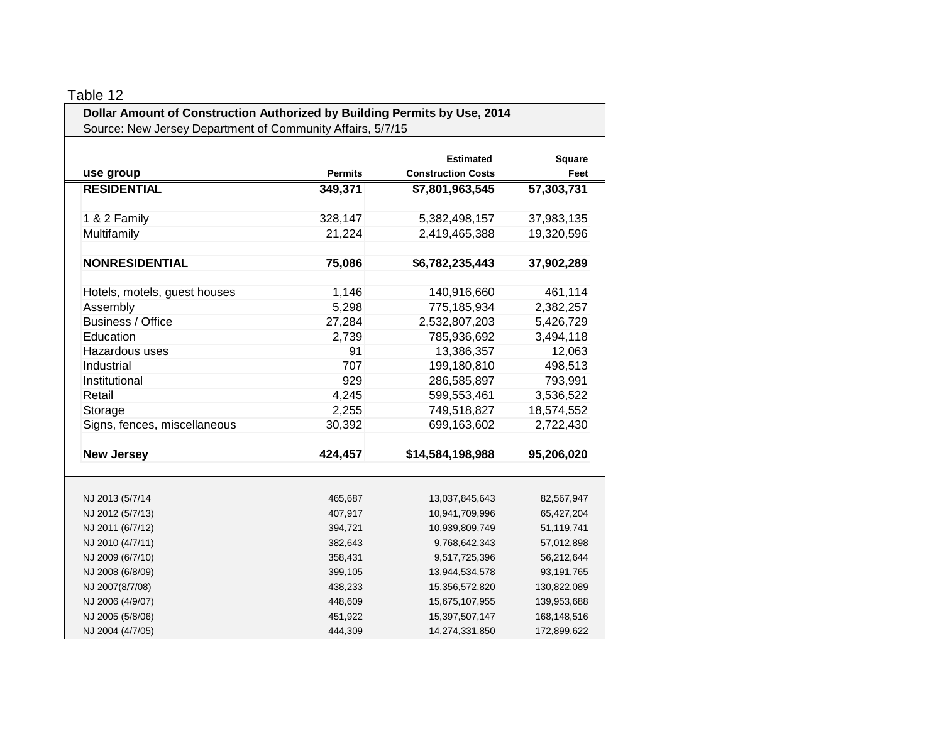| Dollar Amount of Construction Authorized by Building Permits by Use, 2014 |                |                                               |                |  |  |
|---------------------------------------------------------------------------|----------------|-----------------------------------------------|----------------|--|--|
| Source: New Jersey Department of Community Affairs, 5/7/15                |                |                                               |                |  |  |
| use group                                                                 | <b>Permits</b> | <b>Estimated</b><br><b>Construction Costs</b> | Square<br>Feet |  |  |
| <b>RESIDENTIAL</b>                                                        | 349,371        | \$7,801,963,545                               | 57,303,731     |  |  |
|                                                                           |                |                                               |                |  |  |
| 1 & 2 Family                                                              | 328,147        | 5,382,498,157                                 | 37,983,135     |  |  |
| Multifamily                                                               | 21,224         | 2,419,465,388                                 | 19,320,596     |  |  |
|                                                                           |                |                                               |                |  |  |
| <b>NONRESIDENTIAL</b>                                                     | 75,086         | \$6,782,235,443                               | 37,902,289     |  |  |
|                                                                           |                |                                               |                |  |  |
| Hotels, motels, guest houses                                              | 1,146          | 140,916,660                                   | 461,114        |  |  |
| Assembly                                                                  | 5,298          | 775,185,934                                   | 2,382,257      |  |  |
| Business / Office                                                         | 27,284         | 2,532,807,203                                 | 5,426,729      |  |  |
| Education                                                                 | 2,739          | 785,936,692                                   | 3,494,118      |  |  |
| Hazardous uses                                                            | 91             | 13,386,357                                    | 12,063         |  |  |
| Industrial                                                                | 707            | 199,180,810                                   | 498,513        |  |  |
| Institutional                                                             | 929            | 286,585,897                                   | 793,991        |  |  |
| Retail                                                                    | 4,245          | 599,553,461                                   | 3,536,522      |  |  |
| Storage                                                                   | 2,255          | 749,518,827                                   | 18,574,552     |  |  |
| Signs, fences, miscellaneous                                              | 30,392         | 699,163,602                                   | 2,722,430      |  |  |
|                                                                           |                |                                               |                |  |  |
| <b>New Jersey</b>                                                         | 424,457        | \$14,584,198,988                              | 95,206,020     |  |  |
|                                                                           |                |                                               |                |  |  |
|                                                                           |                |                                               |                |  |  |
| NJ 2013 (5/7/14                                                           | 465,687        | 13,037,845,643                                | 82,567,947     |  |  |
| NJ 2012 (5/7/13)                                                          | 407,917        | 10,941,709,996                                | 65,427,204     |  |  |
| NJ 2011 (6/7/12)                                                          | 394,721        | 10,939,809,749                                | 51,119,741     |  |  |
| NJ 2010 (4/7/11)                                                          | 382,643        | 9,768,642,343                                 | 57,012,898     |  |  |
| NJ 2009 (6/7/10)                                                          | 358,431        | 9,517,725,396                                 | 56,212,644     |  |  |
| NJ 2008 (6/8/09)                                                          | 399,105        | 13,944,534,578                                | 93,191,765     |  |  |
| NJ 2007(8/7/08)                                                           | 438,233        | 15,356,572,820                                | 130,822,089    |  |  |
| NJ 2006 (4/9/07)                                                          | 448,609        | 15,675,107,955                                | 139,953,688    |  |  |
| NJ 2005 (5/8/06)                                                          | 451,922        | 15,397,507,147                                | 168,148,516    |  |  |
| NJ 2004 (4/7/05)                                                          | 444,309        | 14,274,331,850                                | 172,899,622    |  |  |

## Table 12